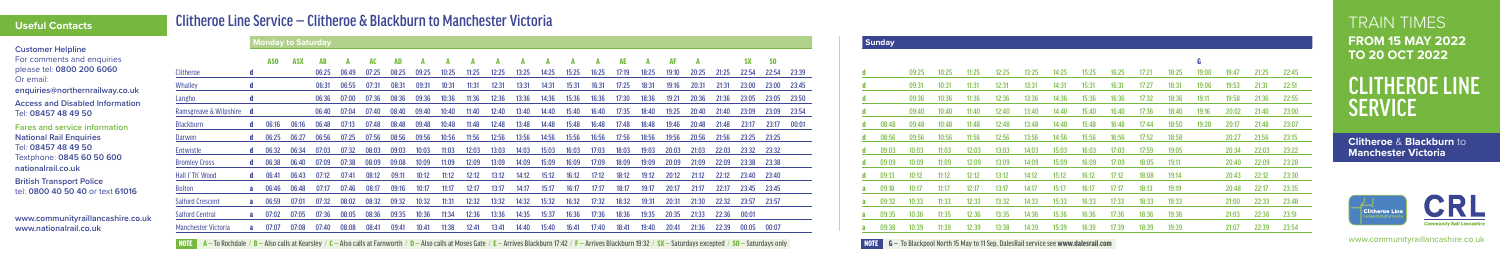TRAIN TIMES **FROM 15 MAY 2022 TO 20 OCT 2022**

# CLITHEROE LINE **SERVICE**

www.communityraillancashire.co.uk

### Clitheroe Line Service — Clitheroe & Blackburn to Manchester Victoria



| <b>Customer Helpline</b>                                            |                            |                  | <b>Monday to Saturday</b> |       |             |       |             |       |                     |             |                            |       |              |       |       |       |              |                                                        |                            |       |                    |                                                                                                                         |  | <b>Sunday</b> |       |       |         |       |        |       |             |       |       |             |                     |       |                   |                   |
|---------------------------------------------------------------------|----------------------------|------------------|---------------------------|-------|-------------|-------|-------------|-------|---------------------|-------------|----------------------------|-------|--------------|-------|-------|-------|--------------|--------------------------------------------------------|----------------------------|-------|--------------------|-------------------------------------------------------------------------------------------------------------------------|--|---------------|-------|-------|---------|-------|--------|-------|-------------|-------|-------|-------------|---------------------|-------|-------------------|-------------------|
| For comments and enquiries<br>please tel: 0800 200 6060             | Clitheroe                  |                  |                           |       | 06:25 06:49 | 07:25 | 08:25       | 09:25 | 10:25               | 11:25       | 12:25                      | 13:25 | 14:25        | 15:25 | 16:25 | 17:19 | 18:25        | 19:10                                                  | 20:25                      | 21:25 | <b>SX</b><br>22:54 | - SO<br>22:54 23:39                                                                                                     |  |               | 09:25 |       |         | 12:25 |        | 14:25 | 15:25       | 16:25 | 17:21 | 18:25       |                     |       |                   | 22:45             |
| Or email:<br>enquiries@northernrailway.co.uk                        | <b>Whalley</b>             |                  |                           |       | 06:31 06:55 | 07:31 | 08:31       | 09:31 | 10:31               | 11:31       | 12:31                      | 13:31 | 14:31        | 15:31 | 16:31 |       |              | 17:25  18:31  19:16                                    | 20:31                      | 21:31 | 23:00              | 23:00 23:45                                                                                                             |  |               | 09:31 |       |         |       | 13:31- | 14:31 | 15:31       | 16:31 | 17:27 | 18:31       | 19:06               | 19:53 |                   |                   |
| <b>Access and Disabled Information</b>                              | Langho                     |                  |                           |       |             |       |             |       |                     |             |                            |       |              |       |       |       |              |                                                        |                            |       |                    | 06:36 07:00 07:36 08:36 09:36 10:36 11:36 12:36 13:36 14:36 15:36 16:36 17:30 18:36 19:21 20:36 21:36 23:05 23:05 23:50 |  |               | 09:36 |       | - 11:36 | 12:36 | 13:36  |       | 14:36 15:36 | 16:36 |       |             | 17:32  18:36  19:11 | 19:58 | 21:36 22:55       |                   |
| Tel: 08457 48 49 50                                                 | Ramsgreave & Wilpshire d   |                  |                           |       | 06:40 07:04 |       | 07:40 08:40 |       | 09:40 10:40         |             |                            |       |              |       |       |       |              |                                                        |                            |       |                    | 11:40 12:40 13:40 14:40 15:40 16:40 17:35 18:40 19:25 20:40 21:40 23:09 23:09 23:54                                     |  |               | 09:40 | 10:40 | 11:40   | 12:40 | 13:40  | 14:40 | 15:40       | 16:40 | 17:36 | 18:40       | 19:16               | 20:02 | 21:40 23:00       |                   |
| <b>Fares and service information</b>                                | Blackburn                  | $d = 06:16$      | 06:16                     | 06:48 | 07:13       | 07:48 | 08:48       |       | 09:48 10:48 11:48   |             |                            |       |              |       |       |       |              | 12:48  13:48  14:48  15:48  16:48  17:48  18:48  19:46 | 20:48 21:48                |       | 23:17              | 23:17 00:01                                                                                                             |  | 08:48         | 09:48 | 10:48 | 11:48   | 12:48 | 13:48  | 14:48 | 15:48       | 16:48 | 17:44 | 18:50       | 19:28               | 20:17 | 21:48 23:07       |                   |
| <b>National Rail Enquiries</b>                                      | Darwen                     | <b>d</b> $06:25$ | 06:27                     | 06:56 | 07:25       | 07:56 | 08:56       | 09:56 | 10:56               | 11:56       | 12:56                      | 13:56 | 14:56        | 15:56 | 16:56 | 17:56 | 18:56        | 19:56                                                  | 20:56                      | 21:56 | 23:25 23:25        |                                                                                                                         |  | 08:56         | 09:56 | 10:56 |         | 12:56 | 13:56  | 14:56 | 15:56       | 16:56 | 17:52 | 18:58       |                     |       | 20:27 21:56 23:15 |                   |
| Tel: 08457 48 49 50                                                 | Entwistle                  | <b>d</b> $06:32$ | 06:34                     | 07:03 | 07:32       | 08:03 | 09:03       | 10:03 |                     | 11:03 12:03 | 13:03                      | 14:03 | 15:03        | 16:03 | 17:03 | 18:03 | 19:03        | 20:03                                                  | 21:03 22:03 23:32 23:32    |       |                    |                                                                                                                         |  |               |       |       | 12:03   | 13:03 | 14:03  | 15:03 | 16:03       | 1/103 | 17:59 | 19:05       |                     |       | 20:34 22:03 23:22 |                   |
| Textphone: 0845 60 50 600                                           | <b>Bromley Cross</b>       | $d = 06:38$      | 06:40                     | 07:09 | 07:38       | 08:09 | 09:08       |       | 10:09  11:09  12:09 |             | 13:09                      |       | 14:09  15:09 | 16:09 | 17:09 |       | 18:09  19:09 | 20:09                                                  | 21:09  22:09  23:38  23:38 |       |                    |                                                                                                                         |  | 09:09         | 10:09 |       | 12:09   | 13:09 | 14:09  | 15:09 | 16:09       | 17:09 | 18:05 | 19:11       |                     |       | 20:40 22:09 23:28 |                   |
| nationalrail.co.uk                                                  | Hall I' Th' Wood           | 06:41            | 06:43                     | 07:12 | 07:41       | 08:12 | 09:11       |       |                     |             | 10:12  11:12  12:12  13:12 | 14:12 | 15:12  16:12 |       | 17:12 | 18:12 |              | 19:12  20:12  21:12  22:12  23:40  23:40               |                            |       |                    |                                                                                                                         |  | 09:13         | 10:12 | 11:12 | 12:12   | 13:12 | 14:12  | 15:12 | 16:12       | 17:12 | 18:08 | 19:14       |                     |       | 20:43 22:12 23:30 |                   |
| <b>British Transport Police</b><br>tel: 0800 40 50 40 or text 61016 | Bolton                     |                  | 06:46 06:48               | 07:17 | 07:46       | 08:17 |             |       | 09:16 10:17 11:17   |             |                            |       |              |       | 17:17 | 18:17 |              | 19:17 20:17                                            | 21:17 22:17 23:45 23:45    |       |                    |                                                                                                                         |  | $a = 09:18$   | 10:17 |       | 12:17   | 13:17 | 14:17  | 15:17 | 16:17       | 17.17 |       | 18:13 19:19 |                     |       |                   | 20:48 22:17 23:35 |
|                                                                     | <b>Salford Crescent</b>    | 06:59            | 07:01                     | 07:32 | 08:02       | 08:32 | 09:32       |       | 10:32 11:31         | 12:32       | 13:32                      | 14:32 | 15:32        | 16:32 | 17:32 | 18:32 | 19:31        | 20:31                                                  | 21:30                      | 22:32 | 23:57 23:57        |                                                                                                                         |  | 09:32         | 10:33 | 11:33 | 12:33   | 13:32 | 14:33  | 15:33 | -16:33      |       | 18:33 | 19:33       |                     |       | 21:00 22:33 23:48 |                   |
| www.communityraillancashire.co.uk                                   | <b>Salford Central</b>     |                  | 07:02 07:05               | 07:36 | 08:05       | 08:36 | 09:35       | 10:36 | 11:34               | 12:36       | 13:36                      | 14:35 | 15:37        | 16:36 | 17:36 | 18:36 | 19:35        | 20:35                                                  |                            |       |                    |                                                                                                                         |  | $a = 09:35$   | 10:36 |       | 12:36   | 13:35 | 14:36  | 15:36 | 16:36       | 1/:36 | 18:36 | 19:36       |                     |       | 21:03 22:36 23:51 |                   |
| www.nationalrail.co.uk                                              | <b>Manchester Victoria</b> | 07:07            | 07:08                     | 07:40 | 08:08       | 08:41 | 09:41       | 10:41 | 11:38               | 12:41       | 13:41                      | 14:40 | 15:40        | 16:41 | 17:40 | 18:41 | 19:40        | 20:41                                                  | 21:36 22:39 00:05 00:07    |       |                    |                                                                                                                         |  | 09:38         | 10:39 | 11:39 | 12:39   | 13:38 | 14:39  | 15:39 | 16:39       | 17:39 | 18:39 | 19:39       |                     | 21:07 | 22:39 23:54       |                   |

NOTE A - To Rochdale / B - Also calls at Kearsley / C - Also calls at Farnworth / D - Also calls at Moses Gate / E - Arrives Blackburn 17:42 / F - Arrives Blackburn 19:32 / SX - Saturdays excepted / SO - Saturdays only

**Clitheroe** & **Blackburn** to **Manchester Victoria**



NOTE G — To Blackpool North 15 May to 11 Sep, DalesRail service see www.dalesrail.com